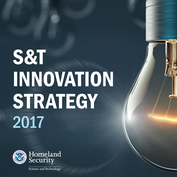# S&T INNOVATION **STRATEGY** 2017



Science and Technology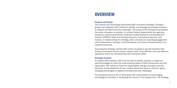# **OVERVIEW**

## Purpose and Scope

This Science and Technology Directorate (S&T) Innovation Strategy ("Strategy") guides and integrates S&T's efforts to identify and leverage technology innovation to address homeland security challenges. The scope of the Strategy encompasses the entire innovation ecosystem, to include Federal departments and agencies, academia, national laboratories, Federally Funded Research and Development Centers (FFRDCs), State and local governments, international partners, and industry. In implementing this Strategy, S&T is focused on expanding engagement with entrepreneurs, startups, small businesses, and others characterized as nontraditional partners.

Executing this Strategy will help S&T achieve its goals to provide solutions that enhance homeland security and/or support safer, more efficient, and cost-effective operations within the Homeland Security Enterprise (HSE).

### Strategic Context

To support DHS missions, S&T must be able to identify, develop, or adapt the best technologies to meet the most pressing needs of DHS Components and first responders. S&T strives to meet this responsibility through innovation and the discovery and development of new, creative ideas that result in effective, gamechanging technologies to address homeland security challenges.

The Homeland Security Act of 2002 gives S&T responsibility for encouraging technological innovation in facilitating the mission of the Department. This Strategy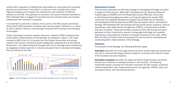outlines S&T's approach to fulfilling that responsibility by connecting with innovative partners and performers ("innovators") to discover novel concepts and cuttingedge technologies and to support the development and transition of effective solutions to the HSE. This approach is consistent with priority initiatives identified in S&T's Strategic Plan to engage the homeland security industrial base and increase collaboration with innovative companies. It is important to note that a majority of end users in the HSE acquire commercial

off-the-shelf (COTS) solutions to address their security needs. Therefore, it is critical for S&T to identify, influence, and leverage innovative COTS solutions and emerging technologies.

Finally, technology innovation requires resources. Analysis of R&D funding sources informs S&T's implementation of this Strategy. As indicated in Figure 1, the major funding for R&D in the U.S. is sourced from the Federal Government and private industry, with industry investment growth significantly outpacing that of the Federal Government. By implementing this Strategy, S&T aims to leverage those investments by engaging innovative partners in industry and government to develop technologies that are relevant to the HSE.



*Figure 1: DHS S&T Budget as a Portion of the Total US R&D Expenditure; Sources: AAAS (left) and NSF (right)* 

#### Organizational Context

This document represents an S&T-wide strategy for leveraging technology innovation in support of DHS missions. While S&T's Homeland Security Advanced Research Projects Agency (HSARPA) and First Responders Group (FRG) play critical roles in identifying and leveraging innovation occurring throughout the broader R&D community, the Capability Development Support Group (CDS) and the Research and Development Partnerships Group (RDP) play key support roles in executing the Strategy. RDP facilitates S&T partnerships with the private sector, academia, national laboratories, other departments and agencies, FFRDCs, and international entities that drive innovation. These partnerships provide the other S&T Groups with direct pathways to inform investments; sponsor cutting-edge technology and capability development; and enable the transition of impactful solutions to end users. Within RDP, the Office of Public-Private Partnerships (P3) has the lead for developing and coordinating S&T's implementation of this Strategy.

#### **Definitions**

For purposes of this Strategy, the following definitions apply:

Innovation describes the multi-stage process by which creative ideas are transformed into new or improved technology products, systems, or services that meet the needs of the homeland security enterprise.

Innovation ecosystem describes the large and diverse range of public and private entities that contribute to creating innovation in the economy. The following stakeholder groups comprise the innovation ecosystem for S&T: industry, academia, national laboratories, other Federal departments and agencies, FFRDCs, State and local governments, and international partners.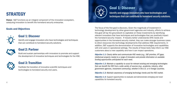# **STRATEGY**

Vision: S&T functions as an integral component of the innovation ecosystem, catalyzing innovation to benefit the homeland security enterprise.

## Goals and Objectives



## Goal 1: Discover

Identify and engage innovators who have technologies and techniques that can contribute to homeland security solutions.



## Goal 2: Partner

Build and sustain partnerships with innovators to promote and support the development of innovative techniques and technologies for the HSE.

# Goal 3: Transition

Facilitate the transition of innovative scientific techniques and technologies to homeland security end users.



# Goal 1: Discover

Identify and engage innovators who have technologies and techniques that can contribute to homeland security solutions.

The focus of the first goal is discovery. Given the magnitude of investment in technology development by other government agencies and industry, efforts to achieve this goal will lay the groundwork to capitalize on these investments by identifying relevant innovators that have techniques and technologies that can positively impact the homeland security mission. If industry better understands DHS needs and opportunities in the homeland security market, they can make stronger business cases to direct resources into technology developments that address HSE requirements. In addition, S&T supports the demonstration of innovative technologies and capabilities with end users in operational settings. The results of these tests help inform our HSE customers about a new capability and how it can impact operations.

*Objective 1.1: Clearly define and communicate HSE needs (e.g., S&T priorities, IPT gaps, intellectual property needs) to a range of innovators and provide information on available funding opportunities anticipated for each need.* 

*Objective 1.2: Maintain a capability to scout for relevant existing and emerging technologies that can benefit the HSE from a wide variety of sources (e.g., academia, industry, other government agencies, investment community), whether in the U.S. or in foreign countries.* 

*Objective 1.3: Maintain awareness of emerging technology trends and the HSE market.* 

*Objective 1.4: Support opportunities to evaluate and demonstrate emerging and novel capabilities for homeland security.*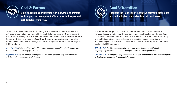

## Goal 2: Partner

Build and sustain partnerships with innovators to promote and support the development of innovative techniques and technologies for the HSE.



## Goal 3: Transition

Facilitate the transition of innovative scientific techniques and technologies to homeland security end users.

The focus of the second goal is partnering with innovators. Industry and Federal agencies are spending hundreds of billions of dollars on technology development. Part of S&T's Strategy is to leverage that investment by engaging innovative partners to create HSE-relevant technologies. By partnering with organizations to develop impactful solutions, S&T is strategically helping shape the products that emerge as COTS products.

*Objective 2.1: Understand the range of innovators and build capabilities that influence those with innovative ideas to engage with S&T.* 

*Objective 2.2: Provide mechanisms to partner with innovators to develop and incentivize solutions to homeland security challenges.* 

The purpose of this goal is to facilitate the transition of innovative solutions to homeland security end users. The S&T Lexicon defines transition as "the assignment of ownership and operation/maintenance of a product or system." S&T is improving and institutionalizing commercialization and transition support activities, and implementing best practices to increase the success of technologies that are made available to HSE operators.

*Objective 3.1: Provide opportunities for the private sector to leverage S&T's intellectual property, unique facilities, and talent through licenses and other agreements.* 

*Objective 3.2: Provide partnership information, resources, and standards development support to facilitate the commercialization of HSE solutions.*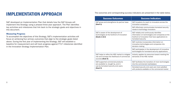# IMPLEMENTATION APPROACH

#### Measuring Progress

| <b>IMPLEMENTATION APPROACH</b>                                                                                                                                                                                                                                                                                                                                                                                                     | The outcomes and corresponding success indicators are presented in the table below.                                        |                                                                                                                                                                        |
|------------------------------------------------------------------------------------------------------------------------------------------------------------------------------------------------------------------------------------------------------------------------------------------------------------------------------------------------------------------------------------------------------------------------------------|----------------------------------------------------------------------------------------------------------------------------|------------------------------------------------------------------------------------------------------------------------------------------------------------------------|
|                                                                                                                                                                                                                                                                                                                                                                                                                                    | <b>Success Outcomes</b>                                                                                                    | <b>Success Indicators</b>                                                                                                                                              |
| S&T developed an Implementation Plan that details how the S&T Groups will<br>implement this Strategy using a phased three-year approach. The Plan identifies<br>key activities and milestones that link back to the strategic goals and objectives in<br>this document.                                                                                                                                                            | S&T grows and strengthens its partner base<br>(Goal 1)                                                                     | S&T broadens its reach to innovators across the<br>innovation ecosystem                                                                                                |
|                                                                                                                                                                                                                                                                                                                                                                                                                                    |                                                                                                                            | S&T effectively communicates homeland security<br>needs to technology innovators                                                                                       |
| <b>Measuring Progress</b><br>To accomplish the objectives of this Strategy, S&T's implementation activities will<br>focus on achieving four primary outcomes that align to the strategic goals listed<br>above. During the first year of implementing the Strategy, S&T will establish a<br>baseline for measurement and will track progress against FY17 milestones identified<br>in the Innovation Strategy Implementation Plan. | S&T is aware of the development of<br>technologies at the forefront of innovation<br>(Goals 1 & 2)                         | S&T reliably and continuously identifies<br>information on technologies and companies at the<br>forefront of innovation that have applications to<br>homeland security |
|                                                                                                                                                                                                                                                                                                                                                                                                                                    |                                                                                                                            | S&T routinely incorporates information on<br>innovative technologies and companies into<br>decision-making                                                             |
|                                                                                                                                                                                                                                                                                                                                                                                                                                    |                                                                                                                            | S&T participates in the development of innovative<br>technologies for homeland security applications                                                                   |
|                                                                                                                                                                                                                                                                                                                                                                                                                                    | S&T helps to refine the HSE market to mitigate<br>risk and increase the likelihood of commercial<br>success (Goal 3)       | Industry applies its resources toward meeting the<br>demands of the HSE market                                                                                         |
|                                                                                                                                                                                                                                                                                                                                                                                                                                    | S&T-supported commercial products<br>are available to, bought by, and in<br>use by homeland security end users<br>(Goal 3) | S&T facilitates the transition of more technologies<br>into the commercial marketplace                                                                                 |
|                                                                                                                                                                                                                                                                                                                                                                                                                                    |                                                                                                                            | Homeland security end users are more satisfied<br>with products available on the commercial market                                                                     |